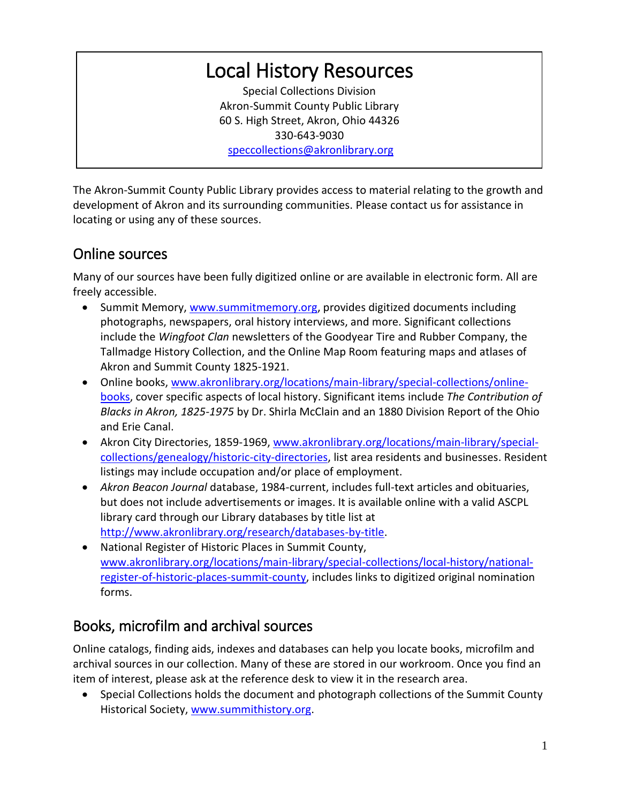# Local History Resources

Special Collections Division Akron-Summit County Public Library 60 S. High Street, Akron, Ohio 44326 330-643-9030 [speccollections@akronlibrary.org](mailto:speccollections@akronlibrary.org)

The Akron-Summit County Public Library provides access to material relating to the growth and development of Akron and its surrounding communities. Please contact us for assistance in locating or using any of these sources.

#### Online sources

Many of our sources have been fully digitized online or are available in electronic form. All are freely accessible.

- Summit Memory, [www.summitmemory.org,](http://www.summitmemory.org/) provides digitized documents including photographs, newspapers, oral history interviews, and more. Significant collections include the *Wingfoot Clan* newsletters of the Goodyear Tire and Rubber Company, the Tallmadge History Collection, and the Online Map Room featuring maps and atlases of Akron and Summit County 1825-1921.
- Online books, [www.akronlibrary.org/locations/main-library/special-collections/online](http://www.akronlibrary.org/locations/main-library/special-collections/online-books)[books,](http://www.akronlibrary.org/locations/main-library/special-collections/online-books) cover specific aspects of local history. Significant items include *The Contribution of Blacks in Akron, 1825-1975* by Dr. Shirla McClain and an 1880 Division Report of the Ohio and Erie Canal.
- Akron City Directories, 1859-1969, [www.akronlibrary.org/locations/main-library/special](http://www.akronlibrary.org/locations/main-library/special-collections/genealogy/historic-city-directories)[collections/genealogy/historic-city-directories,](http://www.akronlibrary.org/locations/main-library/special-collections/genealogy/historic-city-directories) list area residents and businesses. Resident listings may include occupation and/or place of employment.
- *Akron Beacon Journal* database, 1984-current, includes full-text articles and obituaries, but does not include advertisements or images. It is available online with a valid ASCPL library card through our Library databases by title list at [http://www.akronlibrary.org/research/databases-by-title.](http://www.akronlibrary.org/research/databases-by-title)
- National Register of Historic Places in Summit County, [www.akronlibrary.org/locations/main-library/special-collections/local-history/national](http://www.akronlibrary.org/locations/main-library/special-collections/local-history/national-register-of-historic-places-summit-county)[register-of-historic-places-summit-county,](http://www.akronlibrary.org/locations/main-library/special-collections/local-history/national-register-of-historic-places-summit-county) includes links to digitized original nomination forms.

### Books, microfilm and archival sources

Online catalogs, finding aids, indexes and databases can help you locate books, microfilm and archival sources in our collection. Many of these are stored in our workroom. Once you find an item of interest, please ask at the reference desk to view it in the research area.

 Special Collections holds the document and photograph collections of the Summit County Historical Society, [www.summithistory.org.](http://www.summithistory.org/)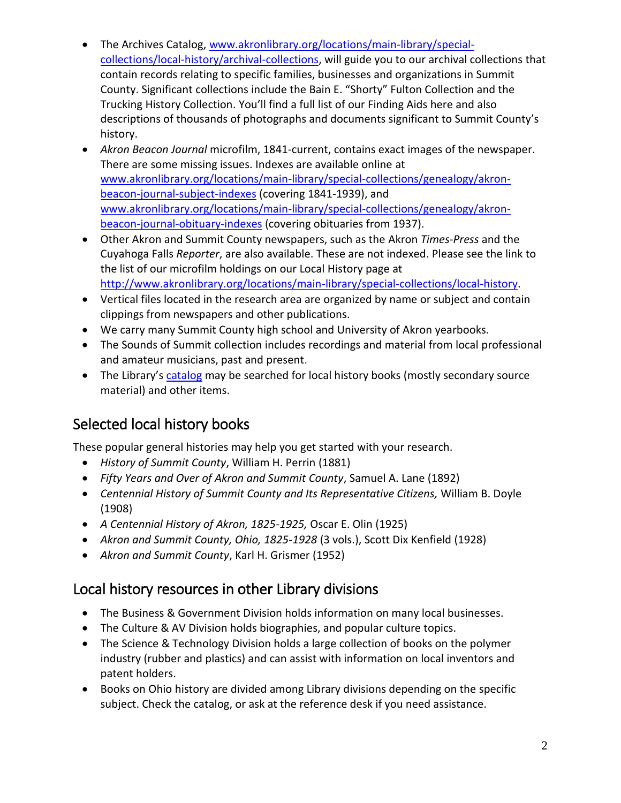- The Archives Catalog, [www.akronlibrary.org/locations/main-library/special](http://www.akronlibrary.org/locations/main-library/special-collections/local-history/archival-collections)[collections/local-history/archival-collections,](http://www.akronlibrary.org/locations/main-library/special-collections/local-history/archival-collections) will guide you to our archival collections that contain records relating to specific families, businesses and organizations in Summit County. Significant collections include the Bain E. "Shorty" Fulton Collection and the Trucking History Collection. You'll find a full list of our Finding Aids here and also descriptions of thousands of photographs and documents significant to Summit County's history.
- *Akron Beacon Journal* microfilm, 1841-current, contains exact images of the newspaper. There are some missing issues. Indexes are available online at [www.akronlibrary.org/locations/main-library/special-collections/genealogy/akron](http://www.akronlibrary.org/locations/main-library/special-collections/genealogy/akron-beacon-journal-subject-indexes)[beacon-journal-subject-indexes](http://www.akronlibrary.org/locations/main-library/special-collections/genealogy/akron-beacon-journal-subject-indexes) (covering 1841-1939), and [www.akronlibrary.org/locations/main-library/special-collections/genealogy/akron](http://www.akronlibrary.org/locations/main-library/special-collections/genealogy/akron-beacon-journal-obituary-indexes)[beacon-journal-obituary-indexes](http://www.akronlibrary.org/locations/main-library/special-collections/genealogy/akron-beacon-journal-obituary-indexes) (covering obituaries from 1937).
- Other Akron and Summit County newspapers, such as the Akron *Times-Press* and the Cuyahoga Falls *Reporter*, are also available. These are not indexed. Please see the link to the list of our microfilm holdings on our Local History page at [http://www.akronlibrary.org/locations/main-library/special-collections/local-history.](http://www.akronlibrary.org/locations/main-library/special-collections/local-history)
- Vertical files located in the research area are organized by name or subject and contain clippings from newspapers and other publications.
- We carry many Summit County high school and University of Akron yearbooks.
- The Sounds of Summit collection includes recordings and material from local professional and amateur musicians, past and present.
- The Library's [catalog](http://encore.akronlibrary.org/iii/encore/home?lang=eng) may be searched for local history books (mostly secondary source material) and other items.

## Selected local history books

These popular general histories may help you get started with your research.

- *History of Summit County*, William H. Perrin (1881)
- *Fifty Years and Over of Akron and Summit County*, Samuel A. Lane (1892)
- *Centennial History of Summit County and Its Representative Citizens,* William B. Doyle (1908)
- *A Centennial History of Akron, 1825-1925,* Oscar E. Olin (1925)
- *Akron and Summit County, Ohio, 1825-1928* (3 vols.), Scott Dix Kenfield (1928)
- *Akron and Summit County*, Karl H. Grismer (1952)

### Local history resources in other Library divisions

- The Business & Government Division holds information on many local businesses.
- The Culture & AV Division holds biographies, and popular culture topics.
- The Science & Technology Division holds a large collection of books on the polymer industry (rubber and plastics) and can assist with information on local inventors and patent holders.
- Books on Ohio history are divided among Library divisions depending on the specific subject. Check the catalog, or ask at the reference desk if you need assistance.